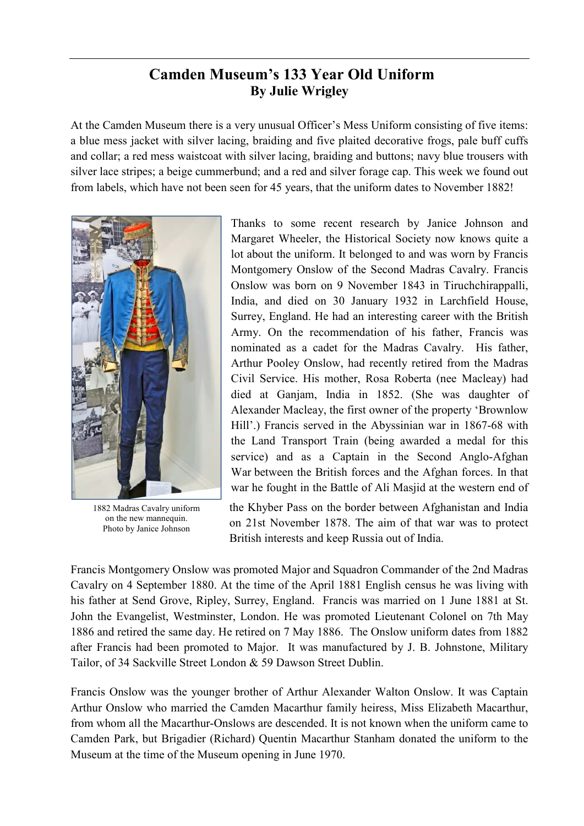## **Camden Museum's 133 Year Old Uniform By Julie Wrigley**

At the Camden Museum there is a very unusual Officer's Mess Uniform consisting of five items: a blue mess jacket with silver lacing, braiding and five plaited decorative frogs, pale buff cuffs and collar; a red mess waistcoat with silver lacing, braiding and buttons; navy blue trousers with silver lace stripes; a beige cummerbund; and a red and silver forage cap. This week we found out from labels, which have not been seen for 45 years, that the uniform dates to November 1882!



1882 Madras Cavalry uniform on the new mannequin. Photo by Janice Johnson

Thanks to some recent research by Janice Johnson and Margaret Wheeler, the Historical Society now knows quite a lot about the uniform. It belonged to and was worn by Francis Montgomery Onslow of the Second Madras Cavalry. Francis Onslow was born on 9 November 1843 in Tiruchchirappalli, India, and died on 30 January 1932 in Larchfield House, Surrey, England. He had an interesting career with the British Army. On the recommendation of his father, Francis was nominated as a cadet for the Madras Cavalry. His father, Arthur Pooley Onslow, had recently retired from the Madras Civil Service. His mother, Rosa Roberta (nee Macleay) had died at Ganjam, India in 1852. (She was daughter of Alexander Macleay, the first owner of the property 'Brownlow Hill'.) Francis served in the Abyssinian war in 1867-68 with the Land Transport Train (being awarded a medal for this service) and as a Captain in the Second Anglo-Afghan War between the British forces and the Afghan forces. In that war he fought in the Battle of Ali Masjid at the western end of

the Khyber Pass on the border between Afghanistan and India on 21st November 1878. The aim of that war was to protect British interests and keep Russia out of India.

Francis Montgomery Onslow was promoted Major and Squadron Commander of the 2nd Madras Cavalry on 4 September 1880. At the time of the April 1881 English census he was living with his father at Send Grove, Ripley, Surrey, England. Francis was married on 1 June 1881 at St. John the Evangelist, Westminster, London. He was promoted Lieutenant Colonel on 7th May 1886 and retired the same day. He retired on 7 May 1886. The Onslow uniform dates from 1882 after Francis had been promoted to Major. It was manufactured by J. B. Johnstone, Military Tailor, of 34 Sackville Street London & 59 Dawson Street Dublin.

Francis Onslow was the younger brother of Arthur Alexander Walton Onslow. It was Captain Arthur Onslow who married the Camden Macarthur family heiress, Miss Elizabeth Macarthur, from whom all the Macarthur-Onslows are descended. It is not known when the uniform came to Camden Park, but Brigadier (Richard) Quentin Macarthur Stanham donated the uniform to the Museum at the time of the Museum opening in June 1970.